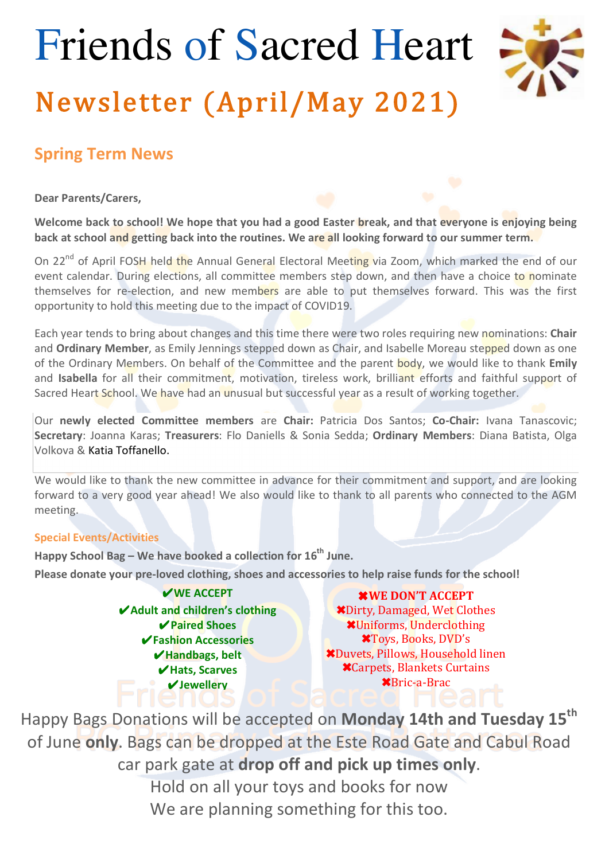# Friends of Sacred Heart Newsletter (April/May 2021)



#### **Spring Term News**

**Dear Parents/Carers,**

Welcome back to school! We hope that you had a good Easter break, and that everyone is enjoying being **back at school and getting back into the routines. We are all looking forward to our summer term.** 

On 22<sup>nd</sup> of April FOSH held the Annual General Electoral Meeting via Zoom, which marked the end of our event calendar. During elections, all committee members step down, and then have a choice to nominate themselves for re-election, and new members are able to put themselves forward. This was the first opportunity to hold this meeting due to the impact of COVID19.

Each year tends to bring about changes and this time there were two roles requiring new nominations: **Chair** and **Ordinary Member**, as Emily Jennings stepped down as Chair, and Isabelle Moreau stepped down as one of the Ordinary Members. On behalf of the Committee and the parent **body**, we would like to thank **Emily** and **Isabella** for all their commitment, motivation, tireless work, brilliant efforts and faithful support of Sacred Heart School. We have had an unusual but successful year as a result of working together.

Our newly elected Committee members are Chair: Patricia Dos Santos; Co-Chair: Ivana Tanascovic; **Secretary**: Joanna Karas; **Treasurers**: Flo Daniells & Sonia Sedda; Ordinary Members: Diana Batista, Olga Volkova & Katia Toffanello.

We would like to thank the new committee in advance for their commitment and support, and are looking forward to a very good year ahead! We also would like to thank to all parents who connected to the AGM meeting.

#### **Special Events/Activities**

**Happy School Bag – We have booked a collection for 16<sup>th</sup> June.** 

Please donate your pre-loved clothing, shoes and accessories to help raise funds for the school!

✔**WE ACCEPT** ✔**Adult and children's clothing** ✔**Paired Shoes** ✔**Fashion Accessories** ✔**Handbags, belt** ✔**Hats, Scarves** ✔**Jewellery**

✖**WE DON'T ACCEPT** ✖Dirty, Damaged, Wet Clothes ✖Uniforms, Underclothing ✖Toys, Books, DVD's ✖Duvets, Pillows, Household linen ✖Carpets, Blankets Curtains ✖Bric-a-Brac

Happy Bags Donations will be accepted on **Monday 14th and Tuesday 15<sup>th</sup>** of June only. Bags can be dropped at the Este Road Gate and Cabul Road car park gate at drop off and pick up times only. Hold on all your toys and books for now We are planning something for this too.